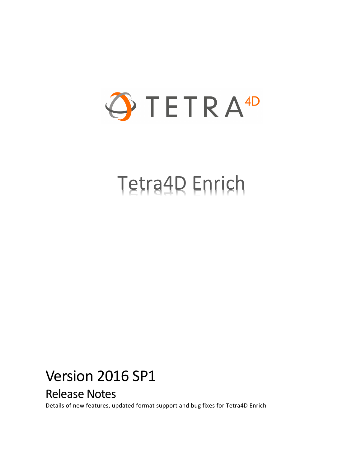

# Tetra4D Enrich

## Version 2016 SP1

## Release Notes

Details of new features, updated format support and bug fixes for Tetra4D Enrich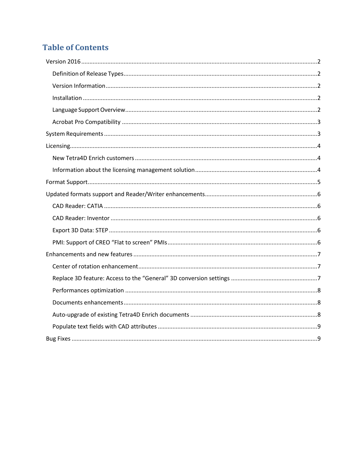## **Table of Contents**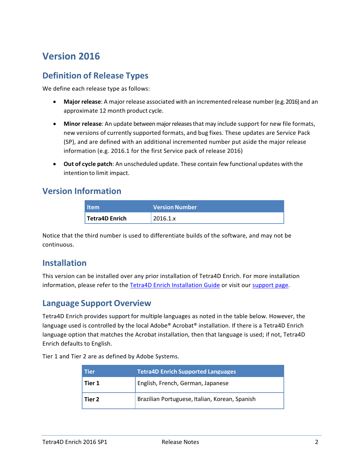## <span id="page-2-0"></span>**Version 2016**

#### <span id="page-2-1"></span>**Definition of Release Types**

We define each release type as follows:

- **Major release**: A major release associated with an incremented release number (e.g. 2016) and an approximate 12 month product cycle.
- **Minor release**: An update betweenmajorreleasesthat may include support for new file formats, new versions of currently supported formats, and bug fixes. These updates are Service Pack (SP), and are defined with an additional incremented number put aside the major release information (e.g. 2016.1 for the first Service pack of release 2016)
- **Out of cycle patch**: An unscheduled update. These contain few functional updates with the intention to limit impact.

#### <span id="page-2-2"></span>**Version Information**

| <b>Item</b>           | <b>Version Number</b> |
|-----------------------|-----------------------|
| <b>Tetra4D Enrich</b> | 12016.1.x             |

Notice that the third number is used to differentiate builds of the software, and may not be continuous.

#### <span id="page-2-3"></span>**Installation**

This version can be installed over any prior installation of Tetra4D Enrich. For more installation information, please refer to the Tetra4D Enrich [Installation Guide](http://www.tetra4d.com/documentation/) or visit our [support page.](http://www.tetra4d.com/support/)

#### <span id="page-2-4"></span>**Language Support Overview**

Tetra4D Enrich provides support for multiple languages as noted in the table below. However, the language used is controlled by the local Adobe® Acrobat® installation. If there is a Tetra4D Enrich language option that matches the Acrobat installation, then that language is used; if not, Tetra4D Enrich defaults to English.

Tier 1 and Tier 2 are as defined by Adobe Systems.

| <b>Tier</b> | <b>Tetra4D Enrich Supported Languages</b>      |  |  |
|-------------|------------------------------------------------|--|--|
| Tier 1      | English, French, German, Japanese              |  |  |
| Tier 2      | Brazilian Portuguese, Italian, Korean, Spanish |  |  |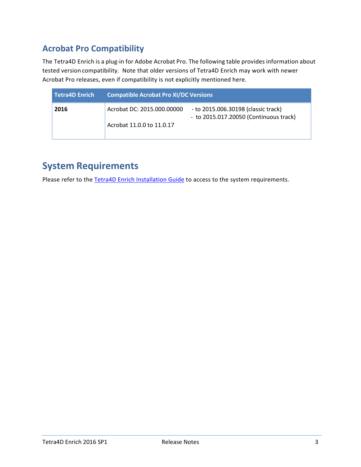## <span id="page-3-0"></span>**Acrobat Pro Compatibility**

The Tetra4D Enrich is a plug-in for Adobe Acrobat Pro. The following table provides information about tested version compatibility. Note that older versions of Tetra4D Enrich may work with newer Acrobat Pro releases, even if compatibility is not explicitly mentioned here.

| Tetra4D Enrich | <b>Compatible Acrobat Pro XI/DC Versions</b> |                                                                               |  |
|----------------|----------------------------------------------|-------------------------------------------------------------------------------|--|
| 2016           | Acrobat DC: 2015.000.00000                   | - to 2015.006.30198 (classic track)<br>- to 2015.017.20050 (Continuous track) |  |
|                | Acrobat 11.0.0 to 11.0.17                    |                                                                               |  |

## <span id="page-3-1"></span>**System Requirements**

Please refer to the [Tetra4D Enrich Installation Guide](http://www.tetra4d.com/documentation/) to access to the system requirements.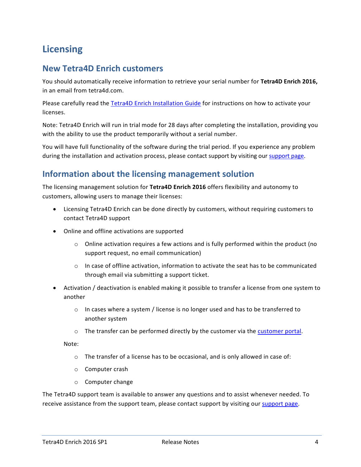## <span id="page-4-0"></span>**Licensing**

#### <span id="page-4-1"></span>**New Tetra4D Enrich customers**

You should automatically receive information to retrieve your serial number for **Tetra4D Enrich 2016,**  in an email from tetra4d.com.

Please carefully read the [Tetra4D Enrich Installation Guide](http://www.tetra4d.com/documentation/) for instructions on how to activate your licenses.

Note: Tetra4D Enrich will run in trial mode for 28 days after completing the installation, providing you with the ability to use the product temporarily without a serial number.

You will have full functionality of the software during the trial period. If you experience any problem during the installation and activation process, please contact support by visiting our [support page.](http://www.tetra4d.com/support/)

#### <span id="page-4-2"></span>**Information about the licensing management solution**

The licensing management solution for **Tetra4D Enrich 2016** offers flexibility and autonomy to customers, allowing users to manage their licenses:

- Licensing Tetra4D Enrich can be done directly by customers, without requiring customers to contact Tetra4D support
- Online and offline activations are supported
	- $\circ$  Online activation requires a few actions and is fully performed within the product (no support request, no email communication)
	- $\circ$  In case of offline activation, information to activate the seat has to be communicated through email via submitting a support ticket.
- Activation / deactivation is enabled making it possible to transfer a license from one system to another
	- $\circ$  In cases where a system / license is no longer used and has to be transferred to another system
	- $\circ$  The transfer can be performed directly by the customer via the [customer portal.](https://system.netsuite.com/core/media/media.nl?id=1512340&c=1268810&h=7381c1353a387fc86a78&_xt=.html)

Note:

- o The transfer of a license has to be occasional, and is only allowed in case of:
- o Computer crash
- o Computer change

The Tetra4D support team is available to answer any questions and to assist whenever needed. To receive assistance from the support team, please contact support by visiting our [support page.](http://www.tetra4d.com/support/)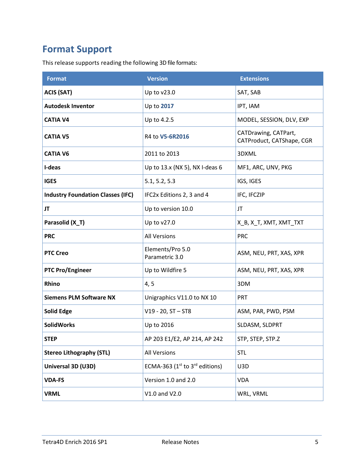## <span id="page-5-0"></span>**Format Support**

This release supports reading the following 3D file formats:

| <b>Format</b>                            | <b>Version</b>                      | <b>Extensions</b>                                 |
|------------------------------------------|-------------------------------------|---------------------------------------------------|
| <b>ACIS (SAT)</b>                        | Up to v23.0                         | SAT, SAB                                          |
| <b>Autodesk Inventor</b>                 | Up to 2017                          | IPT, IAM                                          |
| <b>CATIA V4</b>                          | Up to 4.2.5                         | MODEL, SESSION, DLV, EXP                          |
| <b>CATIA V5</b>                          | R4 to V5-6R2016                     | CATDrawing, CATPart,<br>CATProduct, CATShape, CGR |
| <b>CATIA V6</b>                          | 2011 to 2013                        | 3DXML                                             |
| I-deas                                   | Up to 13.x (NX 5), NX I-deas 6      | MF1, ARC, UNV, PKG                                |
| <b>IGES</b>                              | 5.1, 5.2, 5.3                       | IGS, IGES                                         |
| <b>Industry Foundation Classes (IFC)</b> | IFC2x Editions 2, 3 and 4           | IFC, IFCZIP                                       |
| JT                                       | Up to version 10.0                  | <b>JT</b>                                         |
| Parasolid (X_T)                          | Up to v27.0                         | X_B, X_T, XMT, XMT_TXT                            |
| <b>PRC</b>                               | <b>All Versions</b>                 | <b>PRC</b>                                        |
| <b>PTC Creo</b>                          | Elements/Pro 5.0<br>Parametric 3.0  | ASM, NEU, PRT, XAS, XPR                           |
| <b>PTC Pro/Engineer</b>                  | Up to Wildfire 5                    | ASM, NEU, PRT, XAS, XPR                           |
| Rhino                                    | 4, 5                                | 3DM                                               |
| <b>Siemens PLM Software NX</b>           | Unigraphics V11.0 to NX 10          | <b>PRT</b>                                        |
| <b>Solid Edge</b>                        | $V19 - 20$ , $ST - ST8$             | ASM, PAR, PWD, PSM                                |
| <b>SolidWorks</b>                        | Up to 2016                          | SLDASM, SLDPRT                                    |
| <b>STEP</b>                              | AP 203 E1/E2, AP 214, AP 242        | STP, STEP, STP.Z                                  |
| <b>Stereo Lithography (STL)</b>          | <b>All Versions</b>                 | <b>STL</b>                                        |
| Universal 3D (U3D)                       | ECMA-363 ( $1st$ to $3rd$ editions) | U3D                                               |
| <b>VDA-FS</b>                            | Version 1.0 and 2.0                 | <b>VDA</b>                                        |
| <b>VRML</b>                              | V1.0 and V2.0                       | WRL, VRML                                         |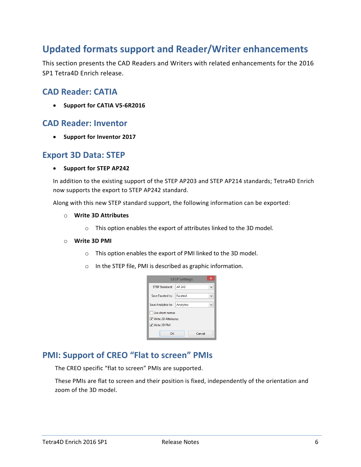## <span id="page-6-0"></span>**Updated formats support and Reader/Writer enhancements**

This section presents the CAD Readers and Writers with related enhancements for the 2016 SP1 Tetra4D Enrich release.

#### <span id="page-6-1"></span>**CAD Reader: CATIA**

• **Support for CATIA V5-6R2016**

#### <span id="page-6-2"></span>**CAD Reader: Inventor**

• **Support for Inventor 2017**

#### <span id="page-6-3"></span>**Export 3D Data: STEP**

#### • **Support for STEP AP242**

In addition to the existing support of the STEP AP203 and STEP AP214 standards; Tetra4D Enrich now supports the export to STEP AP242 standard.

Along with this new STEP standard support, the following information can be exported:

- o **Write 3D Attributes**
	- o This option enables the export of attributes linked to the 3D model.

#### o **Write 3D PMI**

- o This option enables the export of PMI linked to the 3D model.
- o In the STEP file, PMI is described as graphic information.

| ×<br><b>STEP Settings</b> |           |  |
|---------------------------|-----------|--|
| <b>STEP Standard:</b>     | AP 242    |  |
| Save Faceted to:          | Faceted   |  |
| Save Analytics to:        | Analytics |  |
| Use short names           |           |  |
| √ Write 3D Attributes     |           |  |
| √ Write 3D PMI            |           |  |
| ок                        | Cancel    |  |

## <span id="page-6-4"></span>**PMI: Support of CREO "Flat to screen" PMIs**

The CREO specific "flat to screen" PMIs are supported.

These PMIs are flat to screen and their position is fixed, independently of the orientation and zoom of the 3D model.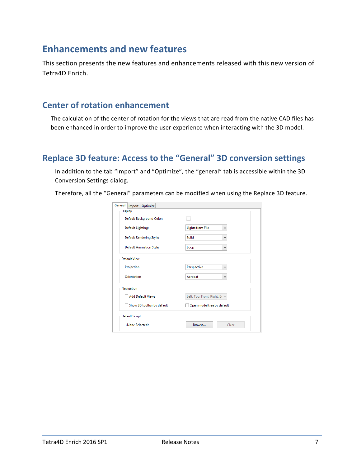## <span id="page-7-0"></span>**Enhancements and new features**

This section presents the new features and enhancements released with this new version of Tetra4D Enrich.

#### <span id="page-7-1"></span>**Center of rotation enhancement**

The calculation of the center of rotation for the views that are read from the native CAD files has been enhanced in order to improve the user experience when interacting with the 3D model.

#### <span id="page-7-2"></span>**Replace 3D feature: Access to the "General" 3D conversion settings**

In addition to the tab "Import" and "Optimize", the "general" tab is accessible within the 3D Conversion Settings dialog.

Therefore, all the "General" parameters can be modified when using the Replace 3D feature.

| General<br>Import   Optimize                              |                              |
|-----------------------------------------------------------|------------------------------|
| <b>Display</b>                                            |                              |
| Default Background Color:                                 |                              |
| Default Lighting:                                         | <b>Lights from File</b><br>v |
| <b>Default Rendering Style:</b>                           | Solid<br>٧                   |
| <b>Default Animation Style:</b>                           | Loop<br>٧                    |
| Default View                                              |                              |
| Projection                                                | Perspective<br>$\checkmark$  |
| Orientation                                               | Acrobat<br>v                 |
| Navigation                                                |                              |
| Left, Top, Front, Right, Br v<br><b>Add Default Views</b> |                              |
| Show 3D toolbar by default                                | Open model tree by default   |
| <b>Default Script</b>                                     |                              |
| <none selected=""></none>                                 | Browse<br>Clear              |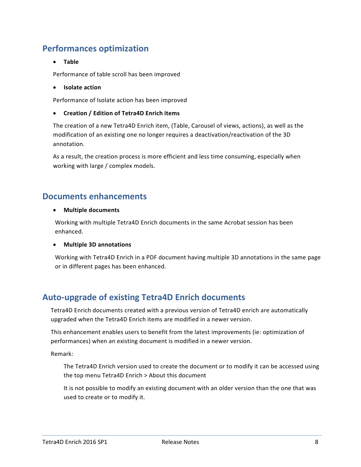#### <span id="page-8-0"></span>**Performances optimization**

• **Table**

Performance of table scroll has been improved

• **Isolate action**

Performance of Isolate action has been improved

• **Creation / Edition of Tetra4D Enrich items**

The creation of a new Tetra4D Enrich item, (Table, Carousel of views, actions), as well as the modification of an existing one no longer requires a deactivation/reactivation of the 3D annotation.

As a result, the creation process is more efficient and less time consuming, especially when working with large / complex models.

#### <span id="page-8-1"></span>**Documents enhancements**

#### • **Multiple documents**

Working with multiple Tetra4D Enrich documents in the same Acrobat session has been enhanced.

#### • **Multiple 3D annotations**

Working with Tetra4D Enrich in a PDF document having multiple 3D annotations in the same page or in different pages has been enhanced.

#### <span id="page-8-2"></span>**Auto-upgrade of existing Tetra4D Enrich documents**

Tetra4D Enrich documents created with a previous version of Tetra4D enrich are automatically upgraded when the Tetra4D Enrich items are modified in a newer version.

This enhancement enables users to benefit from the latest improvements (ie: optimization of performances) when an existing document is modified in a newer version.

Remark:

The Tetra4D Enrich version used to create the document or to modify it can be accessed using the top menu Tetra4D Enrich > About this document

It is not possible to modify an existing document with an older version than the one that was used to create or to modify it.